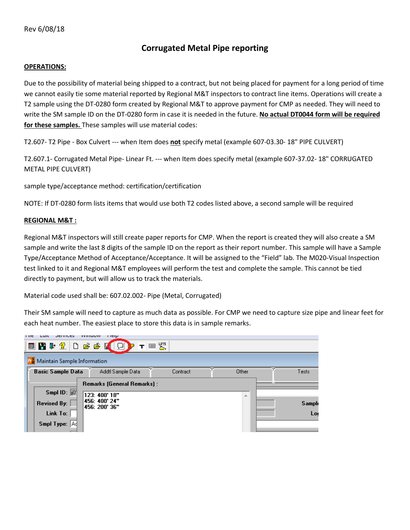## **Corrugated Metal Pipe reporting**

## **OPERATIONS:**

Due to the possibility of material being shipped to a contract, but not being placed for payment for a long period of time we cannot easily tie some material reported by Regional M&T inspectors to contract line items. Operations will create a T2 sample using the DT-0280 form created by Regional M&T to approve payment for CMP as needed. They will need to write the SM sample ID on the DT-0280 form in case it is needed in the future. **No actual DT0044 form will be required for these samples.** These samples will use material codes:

T2.607- T2 Pipe - Box Culvert --- when Item does **not** specify metal (example 607-03.30- 18" PIPE CULVERT)

T2.607.1- Corrugated Metal Pipe- Linear Ft. --- when Item does specify metal (example 607-37.02- 18" CORRUGATED METAL PIPE CULVERT)

sample type/acceptance method: certification/certification

NOTE: If DT-0280 form lists items that would use both T2 codes listed above, a second sample will be required

## **REGIONAL M&T :**

Regional M&T inspectors will still create paper reports for CMP. When the report is created they will also create a SM sample and write the last 8 digits of the sample ID on the report as their report number. This sample will have a Sample Type/Acceptance Method of Acceptance/Acceptance. It will be assigned to the "Field" lab. The M020-Visual Inspection test linked to it and Regional M&T employees will perform the test and complete the sample. This cannot be tied directly to payment, but will allow us to track the materials.

Material code used shall be: 607.02.002- Pipe (Metal, Corrugated)

Their SM sample will need to capture as much data as possible. For CMP we need to capture size pipe and linear feet for each heat number. The easiest place to store this data is in sample remarks.

| т тетр<br>тие<br><b>VYHIUUVV</b><br>Lui<br><b>JEIVILLS</b>                  |                                                                                |          |       |                     |  |  |  |  |
|-----------------------------------------------------------------------------|--------------------------------------------------------------------------------|----------|-------|---------------------|--|--|--|--|
| <b>■图中全口后序图口P 〒■盟</b>                                                       |                                                                                |          |       |                     |  |  |  |  |
| Maintain Sample Information                                                 |                                                                                |          |       |                     |  |  |  |  |
| <b>Basic Sample Data</b>                                                    | Addtl Sample Data                                                              | Contract | Other | Tests               |  |  |  |  |
| Smpl ID: $\overline{10}$<br><b>Revised By:</b><br>Link To:<br>Smpl Type: Ad | Remarks (General Remarks) :<br>123: 400' 18"<br>456: 400' 24"<br>456: 200' 36" |          | 止     | <b>Sample</b><br>Lo |  |  |  |  |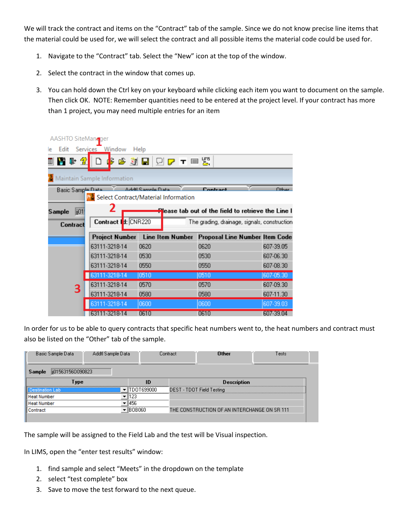We will track the contract and items on the "Contract" tab of the sample. Since we do not know precise line items that the material could be used for, we will select the contract and all possible items the material code could be used for.

- 1. Navigate to the "Contract" tab. Select the "New" icon at the top of the window.
- 2. Select the contract in the window that comes up.
- 3. You can hold down the Ctrl key on your keyboard while clicking each item you want to document on the sample. Then click OK. NOTE: Remember quantities need to be entered at the project level. If your contract has more than 1 project, you may need multiple entries for an item

| AASHTO SiteManager                                   |                             |                                 |                                                    |                                |  |  |  |  |  |
|------------------------------------------------------|-----------------------------|---------------------------------|----------------------------------------------------|--------------------------------|--|--|--|--|--|
| Edit Services Window<br>Help                         |                             |                                 |                                                    |                                |  |  |  |  |  |
| $\mathbb{P}[\mathscr{D}]$                            |                             | +3 3 н огт = у                  |                                                    |                                |  |  |  |  |  |
|                                                      |                             |                                 |                                                    |                                |  |  |  |  |  |
|                                                      | Maintain Sample Information |                                 |                                                    |                                |  |  |  |  |  |
| Basic Sample Data                                    |                             | Addil Sample Data               | Contract                                           | <b>Other</b>                   |  |  |  |  |  |
| Pr <sup>5</sup> Select Contract/Material Information |                             |                                 |                                                    |                                |  |  |  |  |  |
| ii01<br>Sample                                       | 2                           |                                 | Please tab out of the field to retrieve the Line I |                                |  |  |  |  |  |
| Contract                                             | Contract   t: CNR220        |                                 | The grading, drainage, signals, construction       |                                |  |  |  |  |  |
|                                                      |                             | Project Number Line Item Number |                                                    | Proposal Line Number Item Code |  |  |  |  |  |
|                                                      |                             |                                 |                                                    |                                |  |  |  |  |  |
|                                                      | 63111-3218-14               | 0620                            | 0620                                               | 607-39.05                      |  |  |  |  |  |
|                                                      | 63111-3218-14               | 0530                            | 0530                                               | 607-06.30                      |  |  |  |  |  |
|                                                      | 63111-3218-14               | 0550                            | 0550                                               | 607-08.30                      |  |  |  |  |  |
|                                                      | 63111-3218-14               | 0510                            | 0510                                               | 607-05.30                      |  |  |  |  |  |
| 3                                                    | 63111-3218-14               | 0570                            | 0570                                               | 607-09.30                      |  |  |  |  |  |
|                                                      | 63111-3218-14               | 0580                            | 0580                                               | 607-11.30                      |  |  |  |  |  |
|                                                      | 63111-3218-14               | 0600                            | 0600                                               | 607-39.03                      |  |  |  |  |  |
|                                                      | 63111-3218-14               | 0610                            | 0610                                               | 607-39.04                      |  |  |  |  |  |

In order for us to be able to query contracts that specific heat numbers went to, the heat numbers and contract must also be listed on the "Other" tab of the sample.

| Basic Sample Data<br>Addtl Sample Data | Contract  | Other                                        | Tests |  |  |  |  |
|----------------------------------------|-----------|----------------------------------------------|-------|--|--|--|--|
| ii015631560090823<br>Sample            |           |                                              |       |  |  |  |  |
| Түре                                   | ID        | <b>Description</b>                           |       |  |  |  |  |
|                                        | DOT699000 | DEST - TDOT Field Testing                    |       |  |  |  |  |
| <b>Heat Number</b>                     | .23       |                                              |       |  |  |  |  |
| <b>Heat Number</b>                     | 1456      |                                              |       |  |  |  |  |
| Contract                               | BOB060    | THE CONSTRUCTION OF AN INTERCHANGE ON SR 111 |       |  |  |  |  |
|                                        |           |                                              |       |  |  |  |  |

The sample will be assigned to the Field Lab and the test will be Visual inspection.

In LIMS, open the "enter test results" window:

- 1. find sample and select "Meets" in the dropdown on the template
- 2. select "test complete" box
- 3. Save to move the test forward to the next queue.